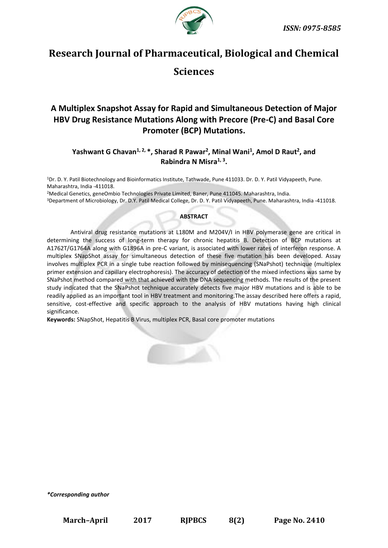

# **Research Journal of Pharmaceutical, Biological and Chemical**

# **Sciences**

# **A Multiplex Snapshot Assay for Rapid and Simultaneous Detection of Major HBV Drug Resistance Mutations Along with Precore (Pre-C) and Basal Core Promoter (BCP) Mutations.**

# **Yashwant G Chavan1, 2, \*, Sharad R Pawar<sup>2</sup> , Minal Wani<sup>1</sup> , Amol D Raut<sup>2</sup> , and Rabindra N Misra1, 3 .**

<sup>1</sup>Dr. D. Y. Patil Biotechnology and Bioinformatics Institute, Tathwade, Pune 411033. Dr. D. Y. Patil Vidyapeeth, Pune. Maharashtra, India -411018.

<sup>2</sup>Medical Genetics, geneOmbio Technologies Private Limited, Baner, Pune 411045. Maharashtra, India.

<sup>3</sup>Department of Microbiology, Dr. D.Y. Patil Medical College, Dr. D. Y. Patil Vidyapeeth, Pune. Maharashtra, India -411018.

# **ABSTRACT**

 Antiviral drug resistance mutations at L180M and M204V/I in HBV polymerase gene are critical in determining the success of long-term therapy for chronic hepatitis B. Detection of BCP mutations at A1762T/G1764A along with G1896A in pre-C variant, is associated with lower rates of interferon response. A multiplex SNapShot assay for simultaneous detection of these five mutation has been developed. Assay involves multiplex PCR in a single tube reaction followed by minisequencing (SNaPshot) technique (multiplex primer extension and capillary electrophoresis). The accuracy of detection of the mixed infections was same by SNaPshot method compared with that achieved with the DNA sequencing methods. The results of the present study indicated that the SNaPshot technique accurately detects five major HBV mutations and is able to be readily applied as an important tool in HBV treatment and monitoring.The assay described here offers a rapid, sensitive, cost-effective and specific approach to the analysis of HBV mutations having high clinical significance.

**Keywords:** SNapShot, Hepatitis B Virus, multiplex PCR, Basal core promoter mutations



*\*Corresponding author*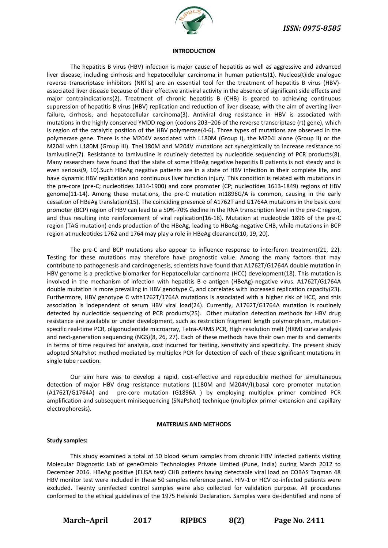

#### **INTRODUCTION**

The hepatitis B virus (HBV) infection is major cause of hepatitis as well as aggressive and advanced liver disease, including cirrhosis and hepatocellular carcinoma in human patients(1). Nucleos(t)ide analogue reverse transcriptase inhibitors (NRTIs) are an essential tool for the treatment of hepatitis B virus (HBV) associated liver disease because of their effective antiviral activity in the absence of significant side effects and major contraindications(2). Treatment of chronic hepatitis B (CHB) is geared to achieving continuous suppression of hepatitis B virus (HBV) replication and reduction of liver disease, with the aim of averting liver failure, cirrhosis, and hepatocellular carcinoma(3). Antiviral drug resistance in HBV is associated with mutations in the highly conserved YMDD region (codons 203–206 of the reverse transcriptase (rt) gene), which is region of the catalytic position of the HBV polymerase(4-6). Three types of mutations are observed in the polymerase gene. There is the M204V associated with L180M (Group I), the M204I alone (Group II) or the M204I with L180M (Group III). TheL180M and M204V mutations act synergistically to increase resistance to lamivudine(7). Resistance to lamivudine is routinely detected by nucleotide sequencing of PCR products(8). Many researchers have found that the state of some HBeAg negative hepatitis B patients is not steady and is even serious(9, 10).Such HBeAg negative patients are in a state of HBV infection in their complete life, and have dynamic HBV replication and continuous liver function injury. This condition is related with mutations in the pre-core (pre-C; nucleotides 1814-1900) and core promoter (CP; nucleotides 1613-1849) regions of HBV genome(11-14). Among these mutations, the pre-C mutation nt1896G/A is common, causing in the early cessation of HBeAg translation(15). The coinciding presence of A1762T and G1764A mutations in the basic core promoter (BCP) region of HBV can lead to a 50%-70% decline in the RNA transcription level in the pre-C region, and thus resulting into reinforcement of viral replication(16-18). Mutation at nucleotide 1896 of the pre-C region (TAG mutation) ends production of the HBeAg, leading to HBeAg-negative CHB, while mutations in BCP region at nucleotides 1762 and 1764 may play a role in HBeAg clearance(10, 19, 20).

The pre-C and BCP mutations also appear to influence response to interferon treatment(21, 22). Testing for these mutations may therefore have prognostic value. Among the many factors that may contribute to pathogenesis and carcinogenesis, scientists have found that A1762T/G1764A double mutation in HBV genome is a predictive biomarker for Hepatocellular carcinoma (HCC) development(18). This mutation is involved in the mechanism of infection with hepatitis B e antigen (HBeAg)-negative virus. A1762T/G1764A double mutation is more prevailing in HBV genotype C, and correlates with increased replication capacity(23). Furthermore, HBV genotype C with1762T/1764A mutations is associated with a higher risk of HCC, and this association is independent of serum HBV viral load(24). Currently, A1762T/G1764A mutation is routinely detected by nucleotide sequencing of PCR products(25). Other mutation detection methods for HBV drug resistance are available or under development, such as restriction fragment length polymorphism, mutationspecific real-time PCR, oligonucleotide microarray, Tetra-ARMS PCR, High resolution melt (HRM) curve analysis and next-generation sequencing (NGS)(8, 26, 27). Each of these methods have their own merits and demerits in terms of time required for analysis, cost incurred for testing, sensitivity and specificity. The present study adopted SNaPshot method mediated by multiplex PCR for detection of each of these significant mutations in single tube reaction.

Our aim here was to develop a rapid, cost-effective and reproducible method for simultaneous detection of major HBV drug resistance mutations (L180M and M204V/I),basal core promoter mutation (A1762T/G1764A) and pre-core mutation (G1896A ) by employing multiplex primer combined PCR amplification and subsequent minisequencing (SNaPshot) technique (multiplex primer extension and capillary electrophoresis).

#### **MATERIALS AND METHODS**

#### **Study samples:**

This study examined a total of 50 blood serum samples from chronic HBV infected patients visiting Molecular Diagnostic Lab of geneOmbio Technologies Private Limited (Pune, India) during March 2012 to December 2016. HBeAg positive (ELISA test) CHB patients having detectable viral load on COBAS Taqman 48 HBV monitor test were included in these 50 samples reference panel. HIV-1 or HCV co-infected patients were excluded. Twenty uninfected control samples were also collected for validation purpose. All procedures conformed to the ethical guidelines of the 1975 Helsinki Declaration. Samples were de-identified and none of

**March–April 2017 RJPBCS 8(2) Page No. 2411**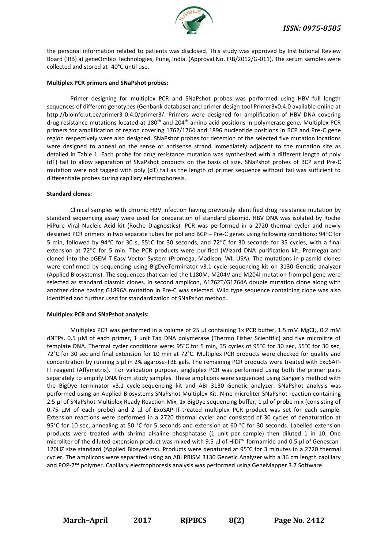

the personal information related to patients was disclosed. This study was approved by Institutional Review Board (IRB) at geneOmbio Technologies, Pune, India. (Approval No. IRB/2012/G-011). The serum samples were collected and stored at -40°C until use.

## **Multiplex PCR primers and SNaPshot probes:**

Primer designing for multiplex PCR and SNaPshot probes was performed using HBV full length sequences of different genotypes (Genbank database) and primer design tool Primer3v0.4.0 available online at [http://bioinfo.ut.ee/primer3-0.4.0/primer3/.](http://bioinfo.ut.ee/primer3-0.4.0/primer3/) Primers were designed for amplification of HBV DNA covering drug resistance mutations located at  $180<sup>th</sup>$  and  $204<sup>th</sup>$  amino acid positions in polymerase gene. Multiplex PCR primers for amplification of region covering 1762/1764 and 1896 nucleotide positions in BCP and Pre-C gene region respectively were also designed. SNaPshot probes for detection of the selected five mutation locations were designed to anneal on the sense or antisense strand immediately adjacent to the mutation site as detailed in Table 1. Each probe for drug resistance mutation was synthesized with a different length of poly (dT) tail to allow separation of SNaPshot products on the basis of size. SNaPshot probes of BCP and Pre-C mutation were not tagged with poly (dT) tail as the length of primer sequence without tail was sufficient to differentiate probes during capillary electrophoresis.

#### **Standard clones:**

Clinical samples with chronic HBV infection having previously identified drug resistance mutation by standard sequencing assay were used for preparation of standard plasmid. HBV DNA was isolated by Roche HiPure Viral Nucleic Acid kit (Roche Diagnostics). PCR was performed in a 2720 thermal cycler and newly designed PCR primers in two separate tubes for pol and BCP – Pre-C genes using following conditions: 94°C for 5 min, followed by 94°C for 30 s, 55°C for 30 seconds, and 72°C for 30 seconds for 35 cycles, with a final extension at 72°C for 5 min. The PCR products were purified (Wizard DNA purification kit, Promega) and cloned into the pGEM-T Easy Vector System (Promega, Madison, WI, USA). The mutations in plasmid clones were confirmed by sequencing using BigDyeTerminator v3.1 cycle sequencing kit on 3130 Genetic analyzer (Applied Biosystems). The sequences that carried the L180M, M204V and M204I mutation from pol gene were selected as standard plasmid clones. In second amplicon, A1762T/G1764A double mutation clone along with another clone having G1896A mutation in Pre-C was selected. Wild type sequence containing clone was also identified and further used for standardization of SNaPshot method.

#### **Multiplex PCR and SNaPshot analysis:**

Multiplex PCR was performed in a volume of 25 μl containing 1x PCR buffer, 1.5 mM MgCl2, 0.2 mM dNTPs, 0.5 μM of each primer, 1 unit Taq DNA polymerase (Thermo Fisher Scientific) and five microlitre of template DNA. Thermal cycler conditions were: 95°C for 5 min, 35 cycles of 95°C for 30 sec, 55°C for 30 sec, 72°C for 30 sec and final extension for 10 min at 72°C. Multiplex PCR products were checked for quality and concentration by running 5 μl in 2% agarose-TBE gels. The remaining PCR products were treated with ExoSAP-IT reagent (Affymetrix). For validation purpose, singleplex PCR was performed using both the primer pairs separately to amplify DNA from study samples. These amplicons were sequenced using Sanger's method with the BigDye terminator v3.1 cycle-sequencing kit and ABI 3130 Genetic analyzer. SNaPshot analysis was performed using an Applied Biosystems SNaPshot Multiplex Kit. Nine microliter SNaPshot reaction containing 2.5 μl of SNaPshot Multiplex Ready Reaction Mix, 1x BigDye sequencing buffer, 1 μl of probe mix (consisting of 0.75 μM of each probe) and 2 μl of ExoSAP-IT-treated multiplex PCR product was set for each sample. Extension reactions were performed in a 2720 thermal cycler and consisted of 30 cycles of denaturation at 95°C for 10 sec, annealing at 50 °C for 5 seconds and extension at 60 °C for 30 seconds. Labelled extension products were treated with shrimp alkaline phosphatase (1 unit per sample) then diluted 1 in 10. One microliter of the diluted extension product was mixed with 9.5 μl of HiDi™ formamide and 0.5 μl of Genescan-120LIZ size standard (Applied Biosystems). Products were denatured at 95°C for 3 minutes in a 2720 thermal cycler. The amplicons were separated using an ABI PRISM 3130 Genetic Analyzer with a 36 cm length capillary and POP-7™ polymer. Capillary electrophoresis analysis was performed using GeneMapper 3.7 Software.

**March–April 2017 RJPBCS 8(2) Page No. 2412**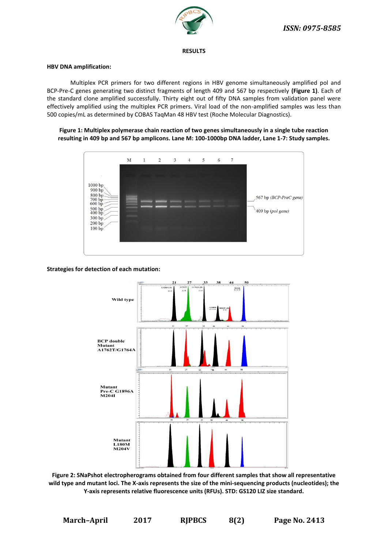

**RESULTS**

# **HBV DNA amplification:**

Multiplex PCR primers for two different regions in HBV genome simultaneously amplified pol and BCP-Pre-C genes generating two distinct fragments of length 409 and 567 bp respectively **(Figure 1)**. Each of the standard clone amplified successfully. Thirty eight out of fifty DNA samples from validation panel were effectively amplified using the multiplex PCR primers. Viral load of the non-amplified samples was less than 500 copies/mL as determined by COBAS TaqMan 48 HBV test (Roche Molecular Diagnostics).

# **Figure 1: Multiplex polymerase chain reaction of two genes simultaneously in a single tube reaction resulting in 409 bp and 567 bp amplicons. Lane M: 100-1000bp DNA ladder, Lane 1-7: Study samples.**



# **Strategies for detection of each mutation:**



**Figure 2: SNaPshot electropherograms obtained from four different samples that show all representative wild type and mutant loci. The X-axis represents the size of the mini-sequencing products (nucleotides); the Y-axis represents relative fluorescence units (RFUs). STD: GS120 LIZ size standard.**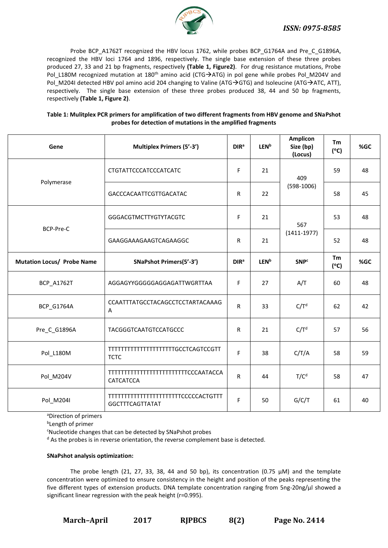

Probe BCP\_A1762T recognized the HBV locus 1762, while probes BCP\_G1764A and Pre\_C\_G1896A, recognized the HBV loci 1764 and 1896, respectively. The single base extension of these three probes produced 27, 33 and 21 bp fragments, respectively **(Table 1, Figure2)**. For drug resistance mutations, Probe Pol\_L180M recognized mutation at 180<sup>th</sup> amino acid (CTG->ATG) in pol gene while probes Pol\_M204V and Pol M204I detected HBV pol amino acid 204 changing to Valine (ATG $\rightarrow$ GTG) and Isoleucine (ATG $\rightarrow$ ATC, ATT), respectively. The single base extension of these three probes produced 38, 44 and 50 bp fragments, respectively **(Table 1, Figure 2)**.

| Table 1: Mulitplex PCR primers for amplification of two different fragments from HBV genome and SNaPshot |
|----------------------------------------------------------------------------------------------------------|
| probes for detection of mutations in the amplified fragments                                             |

| Gene                              | <b>Multiplex Primers (5'-3')</b>                              | DIR <sup>a</sup> | <b>LEN<sup>b</sup></b> | <b>Amplicon</b><br>Size (bp)<br>(Locus) | Tm<br>$(^{\circ}C)$ | %GC |
|-----------------------------------|---------------------------------------------------------------|------------------|------------------------|-----------------------------------------|---------------------|-----|
|                                   | CTGTATTCCCATCCCATCATC                                         | F                | 21                     | 409                                     | 59                  | 48  |
| Polymerase                        | GACCCACAATTCGTTGACATAC                                        | R                | 22                     | $(598-1006)$                            | 58                  | 45  |
|                                   | GGGACGTMCTTYGTYTACGTC                                         | F                | 21                     | 567                                     | 53                  | 48  |
| BCP-Pre-C                         | GAAGGAAAGAAGTCAGAAGGC                                         | $\mathsf{R}$     | 21                     | $(1411 - 1977)$                         | 52                  | 48  |
| <b>Mutation Locus/ Probe Name</b> | <b>SNaPshot Primers(5'-3')</b>                                | DIR <sup>a</sup> | <b>LEN<sup>b</sup></b> | <b>SNP</b> <sup>c</sup>                 | Tm<br>$(^{\circ}C)$ | %GC |
| <b>BCP_A1762T</b>                 | AGGAGYYGGGGGAGGAGATTWGRTTAA                                   | F                | 27                     | A/T                                     | 60                  | 48  |
| BCP_G1764A                        | CCAATTTATGCCTACAGCCTCCTARTACAAAG<br>Α                         | $\mathsf{R}$     | 33                     | C/T <sup>d</sup>                        | 62                  | 42  |
| Pre_C_G1896A                      | <b>TACGGGTCAATGTCCATGCCC</b>                                  | $\mathsf{R}$     | 21                     | C/T <sup>d</sup>                        | 57                  | 56  |
| Pol_L180M                         | TTTTTTTTTTTTTTTTTTTTTGCCTCAGTCCGTT<br><b>TCTC</b>             | F                | 38                     | C/T/A                                   | 58                  | 59  |
| Pol_M204V                         | TTTTTTTTTTTTTTTTTTTTTTTTTCCCAATACCA<br>CATCATCCA              | ${\sf R}$        | 44                     | T/C <sup>d</sup>                        | 58                  | 47  |
| Pol_M204I                         | TTTTTTTTTTTTTTTTTTTTTTTCCCCCACTGTTT<br><b>GGCTTTCAGTTATAT</b> | F                | 50                     | G/C/T                                   | 61                  | 40  |

aDirection of primers

b Length of primer

<sup>c</sup>Nucleotide changes that can be detected by SNaPshot probes

<sup>d</sup> As the probes is in reverse orientation, the reverse complement base is detected.

# **SNaPshot analysis optimization:**

The probe length (21, 27, 33, 38, 44 and 50 bp), its concentration (0.75  $\mu$ M) and the template concentration were optimized to ensure consistency in the height and position of the peaks representing the five different types of extension products. DNA template concentration ranging from 5ng-20ng/μl showed a significant linear regression with the peak height (r=0.995).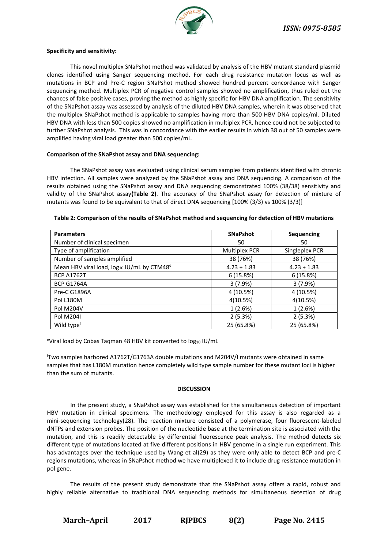

#### **Specificity and sensitivity:**

This novel multiplex SNaPshot method was validated by analysis of the HBV mutant standard plasmid clones identified using Sanger sequencing method. For each drug resistance mutation locus as well as mutations in BCP and Pre-C region SNaPshot method showed hundred percent concordance with Sanger sequencing method. Multiplex PCR of negative control samples showed no amplification, thus ruled out the chances of false positive cases, proving the method as highly specific for HBV DNA amplification. The sensitivity of the SNaPshot assay was assessed by analysis of the diluted HBV DNA samples, wherein it was observed that the multiplex SNaPshot method is applicable to samples having more than 500 HBV DNA copies/ml. Diluted HBV DNA with less than 500 copies showed no amplification in multiplex PCR, hence could not be subjected to further SNaPshot analysis. This was in concordance with the earlier results in which 38 out of 50 samples were amplified having viral load greater than 500 copies/mL.

#### **Comparison of the SNaPshot assay and DNA sequencing:**

The SNaPshot assay was evaluated using clinical serum samples from patients identified with chronic HBV infection. All samples were analyzed by the SNaPshot assay and DNA sequencing. A comparison of the results obtained using the SNaPshot assay and DNA sequencing demonstrated 100% (38/38) sensitivity and validity of the SNaPshot assay**(Table 2)**. The accuracy of the SNaPshot assay for detection of mixture of mutants was found to be equivalent to that of direct DNA sequencing [100% (3/3) vs 100% (3/3)]

| <b>Parameters</b>                                      | <b>SNaPshot</b> | Sequencing     |  |
|--------------------------------------------------------|-----------------|----------------|--|
| Number of clinical specimen                            | 50              | 50             |  |
| Type of amplification                                  | Multiplex PCR   | Singleplex PCR |  |
| Number of samples amplified                            | 38 (76%)        | 38 (76%)       |  |
| Mean HBV viral load, log10 IU/mL by CTM48 <sup>e</sup> | $4.23 + 1.83$   | $4.23 + 1.83$  |  |
| <b>BCP A1762T</b>                                      | 6(15.8%)        | 6(15.8%)       |  |
| <b>BCP G1764A</b>                                      | 3(7.9%)         | 3(7.9%)        |  |
| Pre-C G1896A                                           | 4 (10.5%)       | 4 (10.5%)      |  |
| Pol L180M                                              | 4(10.5%)        | 4(10.5%)       |  |
| <b>Pol M204V</b>                                       | 1(2.6%)         | 1(2.6%)        |  |
| Pol M204I                                              | 2(5.3%)         | 2(5.3%)        |  |
| Wild type <sup>f</sup>                                 | 25 (65.8%)      | 25 (65.8%)     |  |

#### **Table 2: Comparison of the results of SNaPshot method and sequencing for detection of HBV mutations**

eViral load by Cobas Taqman 48 HBV kit converted to  $log_{10}$  IU/mL

<sup>f</sup>Two samples harbored A1762T/G1763A double mutations and M204V/I mutants were obtained in same samples that has L180M mutation hence completely wild type sample number for these mutant loci is higher than the sum of mutants.

#### **DISCUSSION**

In the present study, a SNaPshot assay was established for the simultaneous detection of important HBV mutation in clinical specimens. The methodology employed for this assay is also regarded as a mini-sequencing technology(28). The reaction mixture consisted of a polymerase, four fluorescent-labeled dNTPs and extension probes. The position of the nucleotide base at the termination site is associated with the mutation, and this is readily detectable by differential fluorescence peak analysis. The method detects six different type of mutations located at five different positions in HBV genome in a single run experiment. This has advantages over the technique used by Wang et al(29) as they were only able to detect BCP and pre-C regions mutations, whereas in SNaPshot method we have multiplexed it to include drug resistance mutation in pol gene.

The results of the present study demonstrate that the SNaPshot assay offers a rapid, robust and highly reliable alternative to traditional DNA sequencing methods for simultaneous detection of drug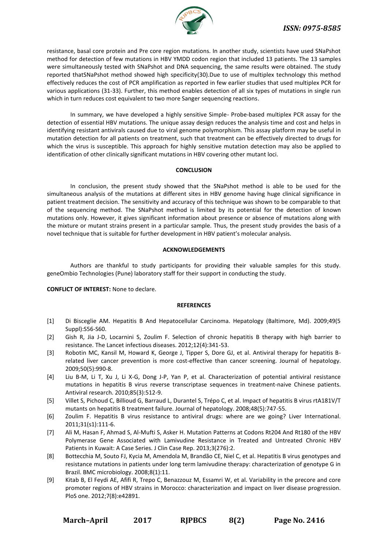

resistance, basal core protein and Pre core region mutations. In another study, scientists have used SNaPshot method for detection of few mutations in HBV YMDD codon region that included 13 patients. The 13 samples were simultaneously tested with SNaPshot and DNA sequencing, the same results were obtained. The study reported thatSNaPshot method showed high specificity(30).Due to use of multiplex technology this method effectively reduces the cost of PCR amplification as reported in few earlier studies that used multiplex PCR for various applications (31-33). Further, this method enables detection of all six types of mutations in single run which in turn reduces cost equivalent to two more Sanger sequencing reactions.

In summary, we have developed a highly sensitive Simple- Probe-based multiplex PCR assay for the detection of essential HBV mutations. The unique assay design reduces the analysis time and cost and helps in identifying resistant antivirals caused due to viral genome polymorphism. This assay platform may be useful in mutation detection for all patients on treatment, such that treatment can be effectively directed to drugs for which the virus is susceptible. This approach for highly sensitive mutation detection may also be applied to identification of other clinically significant mutations in HBV covering other mutant loci.

#### **CONCLUSION**

In conclusion, the present study showed that the SNaPshot method is able to be used for the simultaneous analysis of the mutations at different sites in HBV genome having huge clinical significance in patient treatment decision. The sensitivity and accuracy of this technique was shown to be comparable to that of the sequencing method. The SNaPshot method is limited by its potential for the detection of known mutations only. However, it gives significant information about presence or absence of mutations along with the mixture or mutant strains present in a particular sample. Thus, the present study provides the basis of a novel technique that is suitable for further development in HBV patient's molecular analysis.

# **ACKNOWLEDGEMENTS**

Authors are thankful to study participants for providing their valuable samples for this study. geneOmbio Technologies (Pune) laboratory staff for their support in conducting the study.

# **CONFLICT OF INTEREST:** None to declare.

#### **REFERENCES**

- [1] Di Bisceglie AM. Hepatitis B And Hepatocellular Carcinoma. Hepatology (Baltimore, Md). 2009;49(5 Suppl):S56-S60.
- [2] Gish R, Jia J-D, Locarnini S, Zoulim F. Selection of chronic hepatitis B therapy with high barrier to resistance. The Lancet infectious diseases. 2012;12(4):341-53.
- [3] Robotin MC, Kansil M, Howard K, George J, Tipper S, Dore GJ, et al. Antiviral therapy for hepatitis Brelated liver cancer prevention is more cost-effective than cancer screening. Journal of hepatology. 2009;50(5):990-8.
- [4] Liu B-M, Li T, Xu J, Li X-G, Dong J-P, Yan P, et al. Characterization of potential antiviral resistance mutations in hepatitis B virus reverse transcriptase sequences in treatment-naive Chinese patients. Antiviral research. 2010;85(3):512-9.
- [5] Villet S, Pichoud C, Billioud G, Barraud L, Durantel S, Trépo C, et al. Impact of hepatitis B virus rtA181V/T mutants on hepatitis B treatment failure. Journal of hepatology. 2008;48(5):747-55.
- [6] Zoulim F. Hepatitis B virus resistance to antiviral drugs: where are we going? Liver International. 2011;31(s1):111-6.
- [7] Ali M, Hasan F, Ahmad S, Al-Mufti S, Asker H. Mutation Patterns at Codons Rt204 And Rt180 of the HBV Polymerase Gene Associated with Lamivudine Resistance in Treated and Untreated Chronic HBV Patients in Kuwait: A Case Series. J Clin Case Rep. 2013;3(276):2.
- [8] Bottecchia M, Souto FJ, Kycia M, Amendola M, Brandão CE, Niel C, et al. Hepatitis B virus genotypes and resistance mutations in patients under long term lamivudine therapy: characterization of genotype G in Brazil. BMC microbiology. 2008;8(1):11.
- [9] Kitab B, El Feydi AE, Afifi R, Trepo C, Benazzouz M, Essamri W, et al. Variability in the precore and core promoter regions of HBV strains in Morocco: characterization and impact on liver disease progression. PloS one. 2012;7(8):e42891.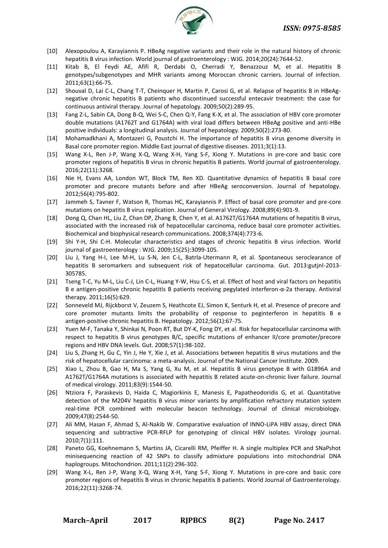

- [10] Alexopoulou A, Karayiannis P. HBeAg negative variants and their role in the natural history of chronic hepatitis B virus infection. World journal of gastroenterology : WJG. 2014;20(24):7644-52.
- [11] Kitab B, El Feydi AE, Afifi R, Derdabi O, Cherradi Y, Benazzouz M, et al. Hepatitis B genotypes/subgenotypes and MHR variants among Moroccan chronic carriers. Journal of infection. 2011;63(1):66-75.
- [12] Shouval D, Lai C-L, Chang T-T, Cheinquer H, Martin P, Carosi G, et al. Relapse of hepatitis B in HBeAgnegative chronic hepatitis B patients who discontinued successful entecavir treatment: the case for continuous antiviral therapy. Journal of hepatology. 2009;50(2):289-95.
- [13] Fang Z-L, Sabin CA, Dong B-Q, Wei S-C, Chen Q-Y, Fang K-X, et al. The association of HBV core promoter double mutations (A1762T and G1764A) with viral load differs between HBeAg positive and anti-HBe positive individuals: a longitudinal analysis. Journal of hepatology. 2009;50(2):273-80.
- [14] Mohamadkhani A, Montazeri G, Poustchi H. The importance of hepatitis B virus genome diversity in Basal core promoter region. Middle East journal of digestive diseases. 2011;3(1):13.
- [15] Wang X-L, Ren J-P, Wang X-Q, Wang X-H, Yang S-F, Xiong Y. Mutations in pre-core and basic core promoter regions of hepatitis B virus in chronic hepatitis B patients. World journal of gastroenterology. 2016;22(11):3268.
- [16] Nie H, Evans AA, London WT, Block TM, Ren XD. Quantitative dynamics of hepatitis B basal core promoter and precore mutants before and after HBeAg seroconversion. Journal of hepatology. 2012;56(4):795-802.
- [17] Jammeh S, Tavner F, Watson R, Thomas HC, Karayiannis P. Effect of basal core promoter and pre-core mutations on hepatitis B virus replication. Journal of General Virology. 2008;89(4):901-9.
- [18] Dong Q, Chan HL, Liu Z, Chan DP, Zhang B, Chen Y, et al. A1762T/G1764A mutations of hepatitis B virus, associated with the increased risk of hepatocellular carcinoma, reduce basal core promoter activities. Biochemical and biophysical research communications. 2008;374(4):773-6.
- [19] Shi Y-H, Shi C-H. Molecular characteristics and stages of chronic hepatitis B virus infection. World journal of gastroenterology : WJG. 2009;15(25):3099-105.
- [20] Liu J, Yang H-I, Lee M-H, Lu S-N, Jen C-L, Batrla-Utermann R, et al. Spontaneous seroclearance of hepatitis B seromarkers and subsequent risk of hepatocellular carcinoma. Gut. 2013:gutjnl-2013- 305785.
- [21] Tseng T-C, Yu M-L, Liu C-J, Lin C-L, Huang Y-W, Hsu C-S, et al. Effect of host and viral factors on hepatitis B e antigen-positive chronic hepatitis B patients receiving pegylated interferon-α-2a therapy. Antiviral therapy. 2011;16(5):629.
- [22] Sonneveld MJ, Rijckborst V, Zeuzem S, Heathcote EJ, Simon K, Senturk H, et al. Presence of precore and core promoter mutants limits the probability of response to peginterferon in hepatitis B e antigen‐positive chronic hepatitis B. Hepatology. 2012;56(1):67-75.
- [23] Yuen M-F, Tanaka Y, Shinkai N, Poon RT, But DY-K, Fong DY, et al. Risk for hepatocellular carcinoma with respect to hepatitis B virus genotypes B/C, specific mutations of enhancer II/core promoter/precore regions and HBV DNA levels. Gut. 2008;57(1):98-102.
- [24] Liu S, Zhang H, Gu C, Yin J, He Y, Xie J, et al. Associations between hepatitis B virus mutations and the risk of hepatocellular carcinoma: a meta-analysis. Journal of the National Cancer Institute. 2009.
- [25] Xiao L, Zhou B, Gao H, Ma S, Yang G, Xu M, et al. Hepatitis B virus genotype B with G1896A and A1762T/G1764A mutations is associated with hepatitis B related acute-on-chronic liver failure. Journal of medical virology. 2011;83(9):1544-50.
- [26] Ntziora F, Paraskevis D, Haida C, Magiorkinis E, Manesis E, Papatheodoridis G, et al. Quantitative detection of the M204V hepatitis B virus minor variants by amplification refractory mutation system real-time PCR combined with molecular beacon technology. Journal of clinical microbiology. 2009;47(8):2544-50.
- [27] Ali MM, Hasan F, Ahmad S, Al-Nakib W. Comparative evaluation of INNO-LiPA HBV assay, direct DNA sequencing and subtractive PCR-RFLP for genotyping of clinical HBV isolates. Virology journal. 2010;7(1):111.
- [28] Paneto GG, Koehnemann S, Martins JA, Cicarelli RM, Pfeiffer H. A single multiplex PCR and SNaPshot minisequencing reaction of 42 SNPs to classify admixture populations into mitochondrial DNA haplogroups. Mitochondrion. 2011;11(2):296-302.
- [29] Wang X-L, Ren J-P, Wang X-Q, Wang X-H, Yang S-F, Xiong Y. Mutations in pre-core and basic core promoter regions of hepatitis B virus in chronic hepatitis B patients. World Journal of Gastroenterology. 2016;22(11):3268-74.